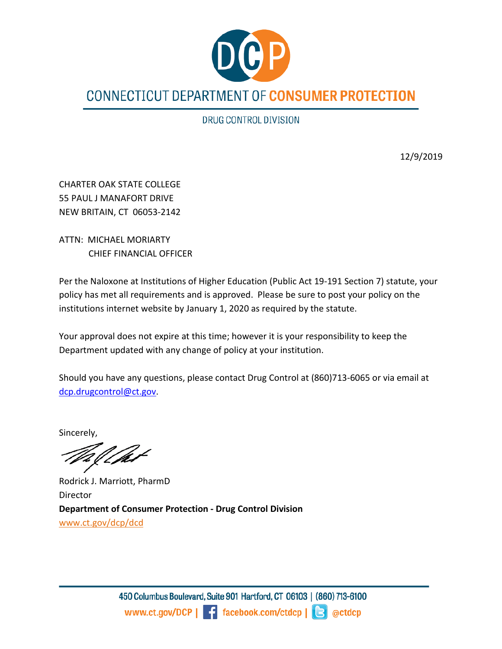

DRUG CONTROL DIVISION

12/9/2019

CHARTER OAK STATE COLLEGE 55 PAUL J MANAFORT DRIVE NEW BRITAIN, CT 06053-2142

ATTN: MICHAEL MORIARTY CHIEF FINANCIAL OFFICER

Per the Naloxone at Institutions of Higher Education (Public Act 19-191 Section 7) statute, your policy has met all requirements and is approved. Please be sure to post your policy on the institutions internet website by January 1, 2020 as required by the statute.

Your approval does not expire at this time; however it is your responsibility to keep the Department updated with any change of policy at your institution.

Should you have any questions, please contact Drug Control at (860)713-6065 or via email at [dcp.drugcontrol@ct.gov.](mailto:dcp.drugcontrol@ct.gov)

Sincerely,

! fat

Rodrick J. Marriott, PharmD Director **Department of Consumer Protection - Drug Control Division** [www.ct.gov/dcp/dcd](http://www.ct.gov/dcp/dcd)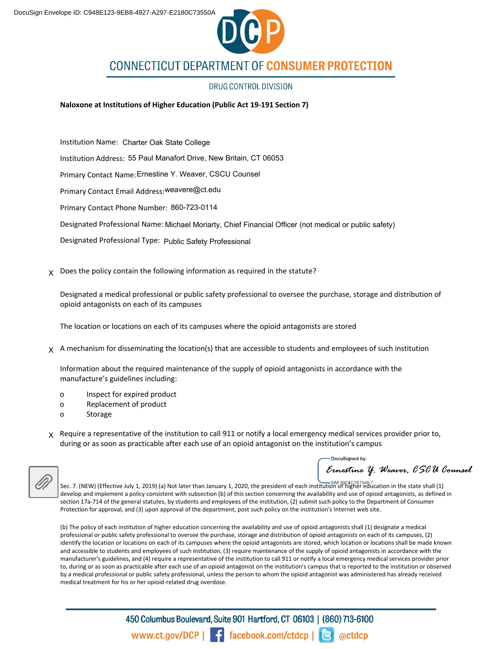

# **CONNECTICUT DEPARTMENT OF CONSUMER PROTECTION**

#### DRUG CONTROL DIVISION

**Naloxone at Institutions of Higher Education (Public Act 19-191 Section 7)**

Institution Name: Charter Oak State College Institution Address: 55 Paul Manafort Drive, New Britain, CT 06053Primary Contact Name: Ernestine Y. Weaver, CSCU Counsel Primary Contact Email Address: weavere@ct.edu Primary Contact Phone Number: 860-723-0114 Designated Professional Name: Michael Moriarty, Chief Financial Officer (not medical or public safety) Designated Professional Type: Public Safety Professional

 $\chi$  Does the policy contain the following information as required in the statute?

Designated a medical professional or public safety professional to oversee the purchase, storage and distribution of opioid antagonists on each of its campuses

The location or locations on each of its campuses where the opioid antagonists are stored

 $\chi$  A mechanism for disseminating the location(s) that are accessible to students and employees of such institution

Information about the required maintenance of the supply of opioid antagonists in accordance with the manufacture's guidelines including:

- o Inspect for expired product
- o Replacement of product
- o Storage
- $\chi$  Require a representative of the institution to call 911 or notify a local emergency medical services provider prior to, during or as soon as practicable after each use of an opioid antagonist on the institution's campus

Ernestine Y. Weaver, CSCU Counsel

Sec. 7. (NEW) (Effective July 1, 2019) (a) Not later than January 1, 2020, the president of each institution of higher education in the state shall (1) develop and implement a policy consistent with subsection (b) of this section concerning the availability and use of opioid antagonists, as defined in section 17a-714 of the general statutes, by students and employees of the institution, (2) submit such policy to the Department of Consumer Protection for approval, and (3) upon approval of the department, post such policy on the institution's Internet web site.

(b) The policy of each institution of higher education concerning the availability and use of opioid antagonists shall (1) designate a medical professional or public safety professional to oversee the purchase, storage and distribution of opioid antagonists on each of its campuses, (2) identify the location or locations on each of its campuses where the opioid antagonists are stored, which location or locations shall be made known and accessible to students and employees of such institution, (3) require maintenance of the supply of opioid antagonists in accordance with the manufacturer's guidelines, and (4) require a representative of the institution to call 911 or notify a local emergency medical services provider prior to, during or as soon as practicable after each use of an opioid antagonist on the institution's campus that is reported to the institution or observed by a medical professional or public safety professional, unless the person to whom the opioid antagonist was administered has already received medical treatment for his or her opioid-related drug overdose.

> 450 Columbus Boulevard, Suite 901 Hartford, CT 06103 | (860) 713-6100 www.ct.gov/DCP | facebook.com/ctdcp | | actdcp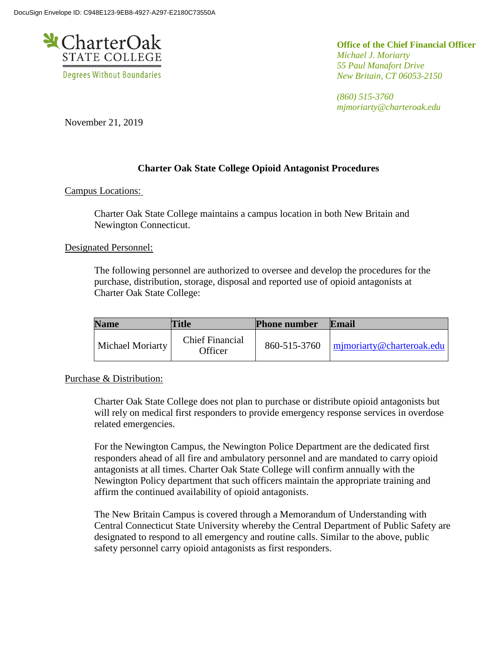

**Office of the Chief Financial Officer** *Michael J. Moriarty 55 Paul Manafort Drive New Britain, CT 06053-2150*

*(860) 515-3760 mjmoriarty@charteroak.edu*

November 21, 2019

# **Charter Oak State College Opioid Antagonist Procedures**

Campus Locations:

Charter Oak State College maintains a campus location in both New Britain and Newington Connecticut.

Designated Personnel:

The following personnel are authorized to oversee and develop the procedures for the purchase, distribution, storage, disposal and reported use of opioid antagonists at Charter Oak State College:

| <b>Name</b>             | <b>Title</b>                      | <b>Phone number</b> | Email                                    |
|-------------------------|-----------------------------------|---------------------|------------------------------------------|
| <b>Michael Moriarty</b> | <b>Chief Financial</b><br>Officer |                     | 860-515-3760   mimoriarty@charteroak.edu |

# Purchase & Distribution:

Charter Oak State College does not plan to purchase or distribute opioid antagonists but will rely on medical first responders to provide emergency response services in overdose related emergencies.

For the Newington Campus, the Newington Police Department are the dedicated first responders ahead of all fire and ambulatory personnel and are mandated to carry opioid antagonists at all times. Charter Oak State College will confirm annually with the Newington Policy department that such officers maintain the appropriate training and affirm the continued availability of opioid antagonists.

The New Britain Campus is covered through a Memorandum of Understanding with Central Connecticut State University whereby the Central Department of Public Safety are designated to respond to all emergency and routine calls. Similar to the above, public safety personnel carry opioid antagonists as first responders.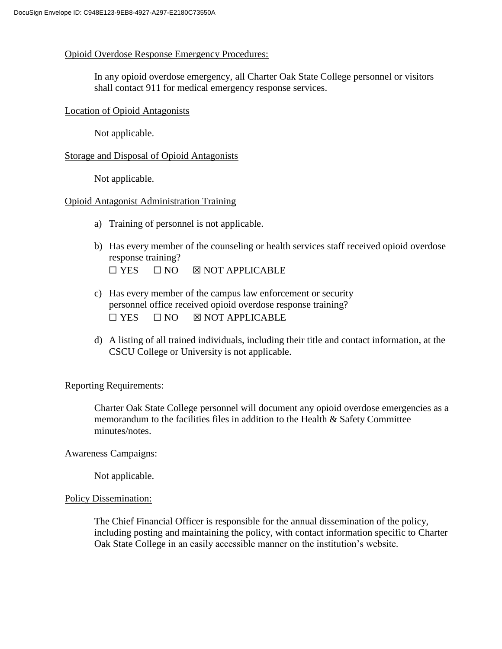## Opioid Overdose Response Emergency Procedures:

In any opioid overdose emergency, all Charter Oak State College personnel or visitors shall contact 911 for medical emergency response services.

## Location of Opioid Antagonists

Not applicable.

## Storage and Disposal of Opioid Antagonists

Not applicable.

## Opioid Antagonist Administration Training

- a) Training of personnel is not applicable.
- b) Has every member of the counseling or health services staff received opioid overdose response training?  $\Box$  YES  $\Box$  NO  $\boxtimes$  NOT APPLICABLE
- c) Has every member of the campus law enforcement or security personnel office received opioid overdose response training?  $\Box$  YES  $\Box$  NO  $\boxtimes$  NOT APPLICABLE
- d) A listing of all trained individuals, including their title and contact information, at the CSCU College or University is not applicable.

#### Reporting Requirements:

Charter Oak State College personnel will document any opioid overdose emergencies as a memorandum to the facilities files in addition to the Health & Safety Committee minutes/notes.

#### Awareness Campaigns:

Not applicable.

#### Policy Dissemination:

The Chief Financial Officer is responsible for the annual dissemination of the policy, including posting and maintaining the policy, with contact information specific to Charter Oak State College in an easily accessible manner on the institution's website.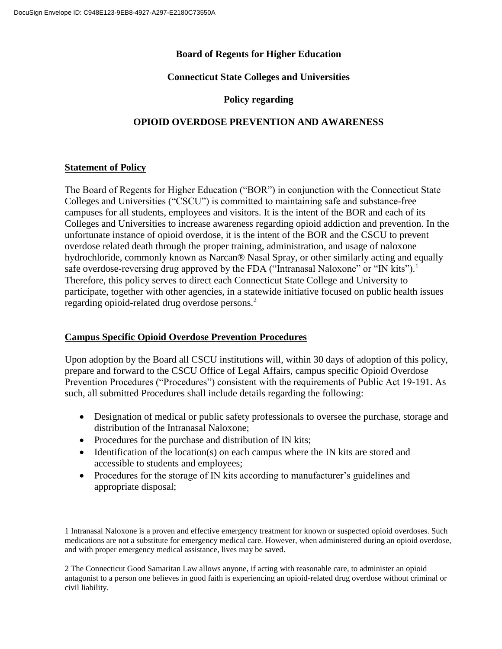# **Board of Regents for Higher Education**

# **Connecticut State Colleges and Universities**

# **Policy regarding**

# **OPIOID OVERDOSE PREVENTION AND AWARENESS**

# **Statement of Policy**

The Board of Regents for Higher Education ("BOR") in conjunction with the Connecticut State Colleges and Universities ("CSCU") is committed to maintaining safe and substance-free campuses for all students, employees and visitors. It is the intent of the BOR and each of its Colleges and Universities to increase awareness regarding opioid addiction and prevention. In the unfortunate instance of opioid overdose, it is the intent of the BOR and the CSCU to prevent overdose related death through the proper training, administration, and usage of naloxone hydrochloride, commonly known as Narcan® Nasal Spray, or other similarly acting and equally safe overdose-reversing drug approved by the FDA ("Intranasal Naloxone" or "IN kits").<sup>1</sup> Therefore, this policy serves to direct each Connecticut State College and University to participate, together with other agencies, in a statewide initiative focused on public health issues regarding opioid-related drug overdose persons.<sup>2</sup>

# **Campus Specific Opioid Overdose Prevention Procedures**

Upon adoption by the Board all CSCU institutions will, within 30 days of adoption of this policy, prepare and forward to the CSCU Office of Legal Affairs, campus specific Opioid Overdose Prevention Procedures ("Procedures") consistent with the requirements of Public Act 19-191. As such, all submitted Procedures shall include details regarding the following:

- Designation of medical or public safety professionals to oversee the purchase, storage and distribution of the Intranasal Naloxone;
- Procedures for the purchase and distribution of IN kits;
- $\bullet$  Identification of the location(s) on each campus where the IN kits are stored and accessible to students and employees;
- Procedures for the storage of IN kits according to manufacturer's guidelines and appropriate disposal;

1 Intranasal Naloxone is a proven and effective emergency treatment for known or suspected opioid overdoses. Such medications are not a substitute for emergency medical care. However, when administered during an opioid overdose, and with proper emergency medical assistance, lives may be saved.

2 The Connecticut Good Samaritan Law allows anyone, if acting with reasonable care, to administer an opioid antagonist to a person one believes in good faith is experiencing an opioid-related drug overdose without criminal or civil liability.